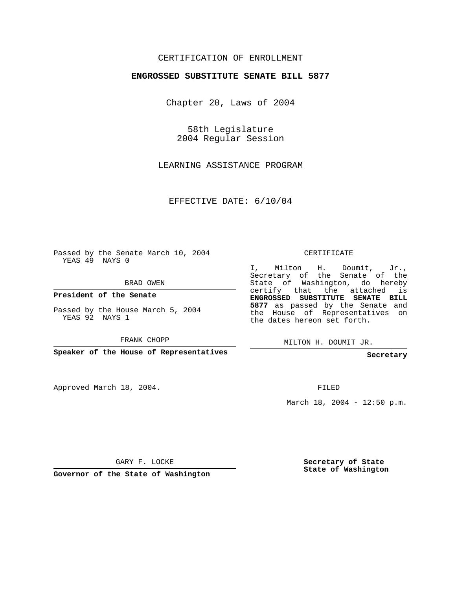## CERTIFICATION OF ENROLLMENT

## **ENGROSSED SUBSTITUTE SENATE BILL 5877**

Chapter 20, Laws of 2004

58th Legislature 2004 Regular Session

LEARNING ASSISTANCE PROGRAM

EFFECTIVE DATE: 6/10/04

Passed by the Senate March 10, 2004 YEAS 49 NAYS 0

BRAD OWEN

**President of the Senate**

Passed by the House March 5, 2004 YEAS 92 NAYS 1

FRANK CHOPP

**Speaker of the House of Representatives**

Approved March 18, 2004.

CERTIFICATE

I, Milton H. Doumit, Jr., Secretary of the Senate of the State of Washington, do hereby certify that the attached is **ENGROSSED SUBSTITUTE SENATE BILL 5877** as passed by the Senate and the House of Representatives on the dates hereon set forth.

MILTON H. DOUMIT JR.

**Secretary**

FILED

March 18, 2004 - 12:50 p.m.

GARY F. LOCKE

**Governor of the State of Washington**

**Secretary of State State of Washington**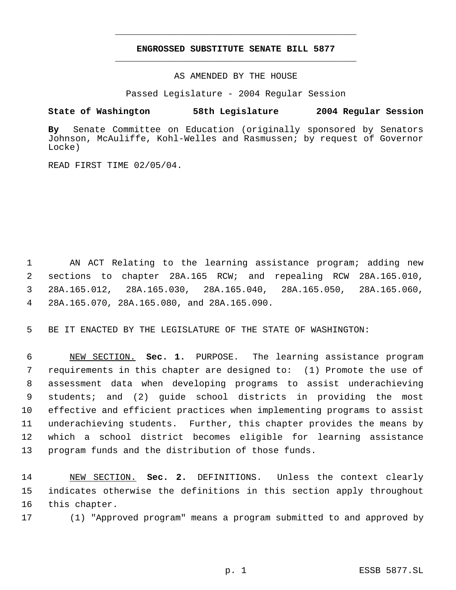## **ENGROSSED SUBSTITUTE SENATE BILL 5877** \_\_\_\_\_\_\_\_\_\_\_\_\_\_\_\_\_\_\_\_\_\_\_\_\_\_\_\_\_\_\_\_\_\_\_\_\_\_\_\_\_\_\_\_\_

\_\_\_\_\_\_\_\_\_\_\_\_\_\_\_\_\_\_\_\_\_\_\_\_\_\_\_\_\_\_\_\_\_\_\_\_\_\_\_\_\_\_\_\_\_

AS AMENDED BY THE HOUSE

Passed Legislature - 2004 Regular Session

## **State of Washington 58th Legislature 2004 Regular Session**

**By** Senate Committee on Education (originally sponsored by Senators Johnson, McAuliffe, Kohl-Welles and Rasmussen; by request of Governor Locke)

READ FIRST TIME 02/05/04.

 AN ACT Relating to the learning assistance program; adding new sections to chapter 28A.165 RCW; and repealing RCW 28A.165.010, 28A.165.012, 28A.165.030, 28A.165.040, 28A.165.050, 28A.165.060, 28A.165.070, 28A.165.080, and 28A.165.090.

BE IT ENACTED BY THE LEGISLATURE OF THE STATE OF WASHINGTON:

 NEW SECTION. **Sec. 1.** PURPOSE. The learning assistance program requirements in this chapter are designed to: (1) Promote the use of assessment data when developing programs to assist underachieving students; and (2) guide school districts in providing the most effective and efficient practices when implementing programs to assist underachieving students. Further, this chapter provides the means by which a school district becomes eligible for learning assistance program funds and the distribution of those funds.

 NEW SECTION. **Sec. 2.** DEFINITIONS. Unless the context clearly indicates otherwise the definitions in this section apply throughout this chapter.

(1) "Approved program" means a program submitted to and approved by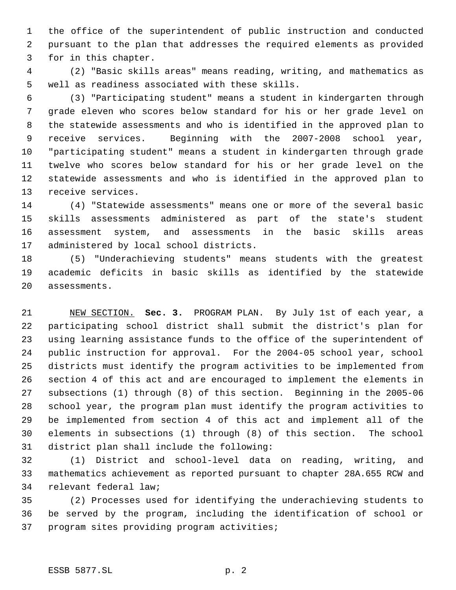the office of the superintendent of public instruction and conducted pursuant to the plan that addresses the required elements as provided for in this chapter.

 (2) "Basic skills areas" means reading, writing, and mathematics as well as readiness associated with these skills.

 (3) "Participating student" means a student in kindergarten through grade eleven who scores below standard for his or her grade level on the statewide assessments and who is identified in the approved plan to receive services. Beginning with the 2007-2008 school year, "participating student" means a student in kindergarten through grade twelve who scores below standard for his or her grade level on the statewide assessments and who is identified in the approved plan to receive services.

 (4) "Statewide assessments" means one or more of the several basic skills assessments administered as part of the state's student assessment system, and assessments in the basic skills areas administered by local school districts.

 (5) "Underachieving students" means students with the greatest academic deficits in basic skills as identified by the statewide assessments.

 NEW SECTION. **Sec. 3.** PROGRAM PLAN. By July 1st of each year, a participating school district shall submit the district's plan for using learning assistance funds to the office of the superintendent of public instruction for approval. For the 2004-05 school year, school districts must identify the program activities to be implemented from section 4 of this act and are encouraged to implement the elements in subsections (1) through (8) of this section. Beginning in the 2005-06 school year, the program plan must identify the program activities to be implemented from section 4 of this act and implement all of the elements in subsections (1) through (8) of this section. The school district plan shall include the following:

 (1) District and school-level data on reading, writing, and mathematics achievement as reported pursuant to chapter 28A.655 RCW and relevant federal law;

 (2) Processes used for identifying the underachieving students to be served by the program, including the identification of school or program sites providing program activities;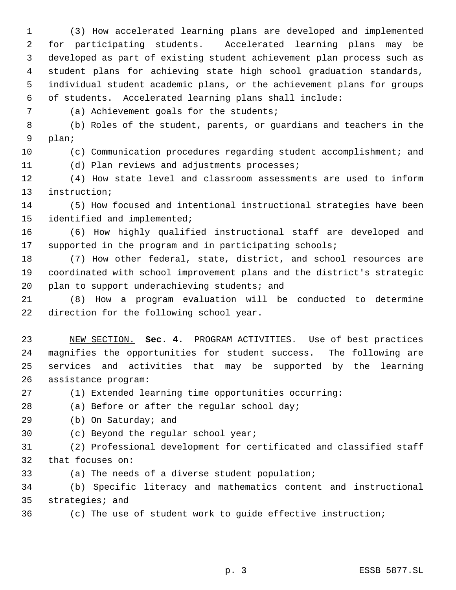(3) How accelerated learning plans are developed and implemented for participating students. Accelerated learning plans may be developed as part of existing student achievement plan process such as student plans for achieving state high school graduation standards, individual student academic plans, or the achievement plans for groups of students. Accelerated learning plans shall include:

(a) Achievement goals for the students;

 (b) Roles of the student, parents, or guardians and teachers in the plan;

(c) Communication procedures regarding student accomplishment; and

(d) Plan reviews and adjustments processes;

 (4) How state level and classroom assessments are used to inform instruction;

 (5) How focused and intentional instructional strategies have been identified and implemented;

 (6) How highly qualified instructional staff are developed and supported in the program and in participating schools;

 (7) How other federal, state, district, and school resources are coordinated with school improvement plans and the district's strategic plan to support underachieving students; and

 (8) How a program evaluation will be conducted to determine direction for the following school year.

 NEW SECTION. **Sec. 4.** PROGRAM ACTIVITIES. Use of best practices magnifies the opportunities for student success. The following are services and activities that may be supported by the learning assistance program:

(1) Extended learning time opportunities occurring:

(a) Before or after the regular school day;

(b) On Saturday; and

(c) Beyond the regular school year;

 (2) Professional development for certificated and classified staff that focuses on:

(a) The needs of a diverse student population;

 (b) Specific literacy and mathematics content and instructional strategies; and

(c) The use of student work to guide effective instruction;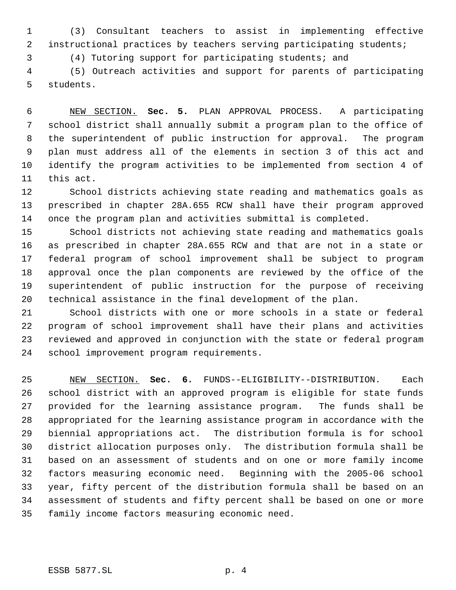(3) Consultant teachers to assist in implementing effective instructional practices by teachers serving participating students;

(4) Tutoring support for participating students; and

 (5) Outreach activities and support for parents of participating students.

 NEW SECTION. **Sec. 5.** PLAN APPROVAL PROCESS. A participating school district shall annually submit a program plan to the office of the superintendent of public instruction for approval. The program plan must address all of the elements in section 3 of this act and identify the program activities to be implemented from section 4 of this act.

 School districts achieving state reading and mathematics goals as prescribed in chapter 28A.655 RCW shall have their program approved once the program plan and activities submittal is completed.

 School districts not achieving state reading and mathematics goals as prescribed in chapter 28A.655 RCW and that are not in a state or federal program of school improvement shall be subject to program approval once the plan components are reviewed by the office of the superintendent of public instruction for the purpose of receiving technical assistance in the final development of the plan.

 School districts with one or more schools in a state or federal program of school improvement shall have their plans and activities reviewed and approved in conjunction with the state or federal program school improvement program requirements.

 NEW SECTION. **Sec. 6.** FUNDS--ELIGIBILITY--DISTRIBUTION. Each school district with an approved program is eligible for state funds provided for the learning assistance program. The funds shall be appropriated for the learning assistance program in accordance with the biennial appropriations act. The distribution formula is for school district allocation purposes only. The distribution formula shall be based on an assessment of students and on one or more family income factors measuring economic need. Beginning with the 2005-06 school year, fifty percent of the distribution formula shall be based on an assessment of students and fifty percent shall be based on one or more family income factors measuring economic need.